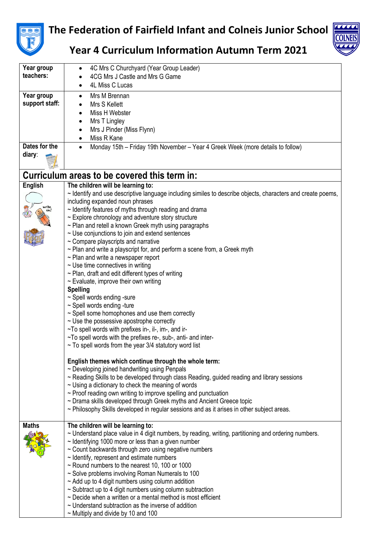

 $\overline{\phantom{a}}$ 

## **The Federation of Fairfield Infant and Colneis Junior School**



**Year 4 Curriculum Information Autumn Term 2021**

| Year group     | 4C Mrs C Churchyard (Year Group Leader)                                                                                                                             |  |  |  |  |
|----------------|---------------------------------------------------------------------------------------------------------------------------------------------------------------------|--|--|--|--|
| teachers:      | 4CG Mrs J Castle and Mrs G Game                                                                                                                                     |  |  |  |  |
|                | 4L Miss C Lucas                                                                                                                                                     |  |  |  |  |
| Year group     | Mrs M Brennan                                                                                                                                                       |  |  |  |  |
| support staff: | Mrs S Kellett                                                                                                                                                       |  |  |  |  |
|                | Miss H Webster                                                                                                                                                      |  |  |  |  |
|                | Mrs T Lingley                                                                                                                                                       |  |  |  |  |
|                | Mrs J Pinder (Miss Flynn)<br>$\bullet$                                                                                                                              |  |  |  |  |
|                | Miss R Kane                                                                                                                                                         |  |  |  |  |
| Dates for the  | Monday 15th - Friday 19th November - Year 4 Greek Week (more details to follow)<br>$\bullet$                                                                        |  |  |  |  |
| diary:         |                                                                                                                                                                     |  |  |  |  |
|                |                                                                                                                                                                     |  |  |  |  |
|                |                                                                                                                                                                     |  |  |  |  |
|                | Curriculum areas to be covered this term in:                                                                                                                        |  |  |  |  |
| <b>English</b> | The children will be learning to:                                                                                                                                   |  |  |  |  |
|                | ~ Identify and use descriptive language including similes to describe objects, characters and create poems,                                                         |  |  |  |  |
|                | including expanded noun phrases                                                                                                                                     |  |  |  |  |
|                | $\sim$ Identify features of myths through reading and drama                                                                                                         |  |  |  |  |
|                | $\sim$ Explore chronology and adventure story structure                                                                                                             |  |  |  |  |
|                | $\sim$ Plan and retell a known Greek myth using paragraphs                                                                                                          |  |  |  |  |
|                | $\sim$ Use conjunctions to join and extend sentences<br>$\sim$ Compare playscripts and narrative                                                                    |  |  |  |  |
|                | $\sim$ Plan and write a playscript for, and perform a scene from, a Greek myth                                                                                      |  |  |  |  |
|                | $\sim$ Plan and write a newspaper report                                                                                                                            |  |  |  |  |
|                | $\sim$ Use time connectives in writing                                                                                                                              |  |  |  |  |
|                | $\sim$ Plan, draft and edit different types of writing                                                                                                              |  |  |  |  |
|                | $\sim$ Evaluate, improve their own writing                                                                                                                          |  |  |  |  |
|                | <b>Spelling</b>                                                                                                                                                     |  |  |  |  |
|                | ~ Spell words ending -sure                                                                                                                                          |  |  |  |  |
|                | $\sim$ Spell words ending -ture                                                                                                                                     |  |  |  |  |
|                | ~ Spell some homophones and use them correctly                                                                                                                      |  |  |  |  |
|                | $\sim$ Use the possessive apostrophe correctly                                                                                                                      |  |  |  |  |
|                | $\sim$ To spell words with prefixes in-, il-, im-, and ir-                                                                                                          |  |  |  |  |
|                | ~To spell words with the prefixes re-, sub-, anti- and inter-                                                                                                       |  |  |  |  |
|                | $\sim$ To spell words from the year 3/4 statutory word list                                                                                                         |  |  |  |  |
|                |                                                                                                                                                                     |  |  |  |  |
|                | English themes which continue through the whole term:                                                                                                               |  |  |  |  |
|                | $\sim$ Developing joined handwriting using Penpals                                                                                                                  |  |  |  |  |
|                | ~ Reading Skills to be developed through class Reading, guided reading and library sessions                                                                         |  |  |  |  |
|                | $\sim$ Using a dictionary to check the meaning of words                                                                                                             |  |  |  |  |
|                | $\sim$ Proof reading own writing to improve spelling and punctuation                                                                                                |  |  |  |  |
|                | ~ Drama skills developed through Greek myths and Ancient Greece topic<br>~ Philosophy Skills developed in regular sessions and as it arises in other subject areas. |  |  |  |  |
|                |                                                                                                                                                                     |  |  |  |  |
| <b>Maths</b>   | The children will be learning to:                                                                                                                                   |  |  |  |  |
|                | $\sim$ Understand place value in 4 digit numbers, by reading, writing, partitioning and ordering numbers.                                                           |  |  |  |  |
|                | $\sim$ Identifying 1000 more or less than a given number                                                                                                            |  |  |  |  |
|                | ~ Count backwards through zero using negative numbers                                                                                                               |  |  |  |  |
|                | $\sim$ Identify, represent and estimate numbers                                                                                                                     |  |  |  |  |
|                | $\sim$ Round numbers to the nearest 10, 100 or 1000                                                                                                                 |  |  |  |  |
|                | ~ Solve problems involving Roman Numerals to 100                                                                                                                    |  |  |  |  |
|                | $\sim$ Add up to 4 digit numbers using column addition                                                                                                              |  |  |  |  |
|                | $\sim$ Subtract up to 4 digit numbers using column subtraction                                                                                                      |  |  |  |  |
|                | $\sim$ Decide when a written or a mental method is most efficient                                                                                                   |  |  |  |  |
|                | $\sim$ Understand subtraction as the inverse of addition                                                                                                            |  |  |  |  |
|                | $\sim$ Multiply and divide by 10 and 100                                                                                                                            |  |  |  |  |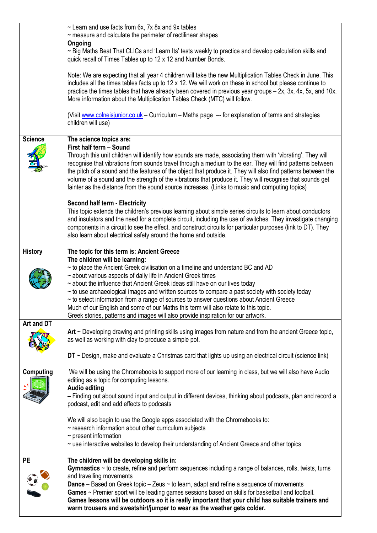|                | $\sim$ Learn and use facts from 6x, 7x 8x and 9x tables<br>$\sim$ measure and calculate the perimeter of rectilinear shapes                                                                                                                                                                                                                                                                                                                                                                                                                                                                                                |
|----------------|----------------------------------------------------------------------------------------------------------------------------------------------------------------------------------------------------------------------------------------------------------------------------------------------------------------------------------------------------------------------------------------------------------------------------------------------------------------------------------------------------------------------------------------------------------------------------------------------------------------------------|
|                | Ongoing<br>~ Big Maths Beat That CLICs and 'Learn Its' tests weekly to practice and develop calculation skills and<br>quick recall of Times Tables up to 12 x 12 and Number Bonds.                                                                                                                                                                                                                                                                                                                                                                                                                                         |
|                | Note: We are expecting that all year 4 children will take the new Multiplication Tables Check in June. This<br>includes all the times tables facts up to 12 x 12. We will work on these in school but please continue to<br>practice the times tables that have already been covered in previous year groups – 2x, 3x, 4x, 5x, and 10x.<br>More information about the Multiplication Tables Check (MTC) will follow.                                                                                                                                                                                                       |
|                | (Visit www.colneisjunior.co.uk - Curriculum - Maths page -- for explanation of terms and strategies<br>children will use)                                                                                                                                                                                                                                                                                                                                                                                                                                                                                                  |
| <b>Science</b> | The science topics are:<br>First half term - Sound<br>Through this unit children will identify how sounds are made, associating them with 'vibrating'. They will<br>recognise that vibrations from sounds travel through a medium to the ear. They will find patterns between<br>the pitch of a sound and the features of the object that produce it. They will also find patterns between the<br>volume of a sound and the strength of the vibrations that produce it. They will recognise that sounds get<br>fainter as the distance from the sound source increases. (Links to music and computing topics)              |
|                | <b>Second half term - Electricity</b><br>This topic extends the children's previous learning about simple series circuits to learn about conductors<br>and insulators and the need for a complete circuit, including the use of switches. They investigate changing<br>components in a circuit to see the effect, and construct circuits for particular purposes (link to DT). They<br>also learn about electrical safety around the home and outside.                                                                                                                                                                     |
| <b>History</b> | The topic for this term is: Ancient Greece<br>The children will be learning:                                                                                                                                                                                                                                                                                                                                                                                                                                                                                                                                               |
|                | $\sim$ to place the Ancient Greek civilisation on a timeline and understand BC and AD<br>~ about various aspects of daily life in Ancient Greek times<br>~ about the influence that Ancient Greek ideas still have on our lives today<br>$\sim$ to use archaeological images and written sources to compare a past society with society today<br>$\sim$ to select information from a range of sources to answer questions about Ancient Greece<br>Much of our English and some of our Maths this term will also relate to this topic.<br>Greek stories, patterns and images will also provide inspiration for our artwork. |
| Art and DT     | Art $\sim$ Developing drawing and printing skills using images from nature and from the ancient Greece topic,                                                                                                                                                                                                                                                                                                                                                                                                                                                                                                              |
|                | as well as working with clay to produce a simple pot.                                                                                                                                                                                                                                                                                                                                                                                                                                                                                                                                                                      |
|                | $DT \sim$ Design, make and evaluate a Christmas card that lights up using an electrical circuit (science link)                                                                                                                                                                                                                                                                                                                                                                                                                                                                                                             |
| Computing      | We will be using the Chromebooks to support more of our learning in class, but we will also have Audio<br>editing as a topic for computing lessons.<br><b>Audio editing</b><br>- Finding out about sound input and output in different devices, thinking about podcasts, plan and record a                                                                                                                                                                                                                                                                                                                                 |
|                | podcast, edit and add effects to podcasts                                                                                                                                                                                                                                                                                                                                                                                                                                                                                                                                                                                  |
|                | We will also begin to use the Google apps associated with the Chromebooks to:<br>$\sim$ research information about other curriculum subjects<br>$\sim$ present information                                                                                                                                                                                                                                                                                                                                                                                                                                                 |
|                | $\sim$ use interactive websites to develop their understanding of Ancient Greece and other topics                                                                                                                                                                                                                                                                                                                                                                                                                                                                                                                          |
| <b>PE</b>      | The children will be developing skills in:<br>Gymnastics $\sim$ to create, refine and perform sequences including a range of balances, rolls, twists, turns<br>and travelling movements<br><b>Dance</b> – Based on Greek topic – Zeus $\sim$ to learn, adapt and refine a sequence of movements                                                                                                                                                                                                                                                                                                                            |
|                | Games ~ Premier sport will be leading games sessions based on skills for basketball and football.<br>Games lessons will be outdoors so it is really important that your child has suitable trainers and<br>warm trousers and sweatshirt/jumper to wear as the weather gets colder.                                                                                                                                                                                                                                                                                                                                         |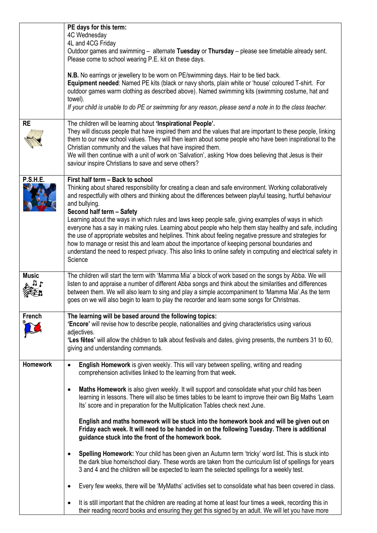|                 | PE days for this term:<br>4C Wednesday<br>4L and 4CG Friday                                                                                                                                                                                                                                                                                                                                                                                                                                                                                                                                                                                                                                                                                                                                                                                                         |
|-----------------|---------------------------------------------------------------------------------------------------------------------------------------------------------------------------------------------------------------------------------------------------------------------------------------------------------------------------------------------------------------------------------------------------------------------------------------------------------------------------------------------------------------------------------------------------------------------------------------------------------------------------------------------------------------------------------------------------------------------------------------------------------------------------------------------------------------------------------------------------------------------|
|                 | Outdoor games and swimming - alternate Tuesday or Thursday - please see timetable already sent.<br>Please come to school wearing P.E. kit on these days.                                                                                                                                                                                                                                                                                                                                                                                                                                                                                                                                                                                                                                                                                                            |
|                 | N.B. No earrings or jewellery to be worn on PE/swimming days. Hair to be tied back.<br>Equipment needed: Named PE kits (black or navy shorts, plain white or 'house' coloured T-shirt. For<br>outdoor games warm clothing as described above). Named swimming kits (swimming costume, hat and<br>towel).<br>If your child is unable to do PE or swimming for any reason, please send a note in to the class teacher.                                                                                                                                                                                                                                                                                                                                                                                                                                                |
| <b>RE</b>       | The children will be learning about 'Inspirational People'.<br>They will discuss people that have inspired them and the values that are important to these people, linking<br>them to our new school values. They will then learn about some people who have been inspirational to the<br>Christian community and the values that have inspired them.<br>We will then continue with a unit of work on 'Salvation', asking 'How does believing that Jesus is their<br>saviour inspire Christians to save and serve others?                                                                                                                                                                                                                                                                                                                                           |
| <b>P.S.H.E.</b> | First half term - Back to school<br>Thinking about shared responsibility for creating a clean and safe environment. Working collaboratively<br>and respectfully with others and thinking about the differences between playful teasing, hurtful behaviour<br>and bullying.<br>Second half term - Safety<br>Learning about the ways in which rules and laws keep people safe, giving examples of ways in which<br>everyone has a say in making rules. Learning about people who help them stay healthy and safe, including<br>the use of appropriate websites and helplines. Think about feeling negative pressure and strategies for<br>how to manage or resist this and learn about the importance of keeping personal boundaries and<br>understand the need to respect privacy. This also links to online safety in computing and electrical safety in<br>Science |
| <b>Music</b>    | The children will start the term with 'Mamma Mia' a block of work based on the songs by Abba. We will<br>listen to and appraise a number of different Abba songs and think about the similarities and differences<br>between them. We will also learn to sing and play a simple accompaniment to 'Mamma Mia'.As the term<br>goes on we will also begin to learn to play the recorder and learn some songs for Christmas.                                                                                                                                                                                                                                                                                                                                                                                                                                            |
| French          | The learning will be based around the following topics:<br>'Encore' will revise how to describe people, nationalities and giving characteristics using various<br>adjectives.<br>'Les fêtes' will allow the children to talk about festivals and dates, giving presents, the numbers 31 to 60,<br>giving and understanding commands.                                                                                                                                                                                                                                                                                                                                                                                                                                                                                                                                |
| <b>Homework</b> | English Homework is given weekly. This will vary between spelling, writing and reading<br>$\bullet$<br>comprehension activities linked to the learning from that week.                                                                                                                                                                                                                                                                                                                                                                                                                                                                                                                                                                                                                                                                                              |
|                 | Maths Homework is also given weekly. It will support and consolidate what your child has been<br>$\bullet$<br>learning in lessons. There will also be times tables to be learnt to improve their own Big Maths 'Learn<br>Its' score and in preparation for the Multiplication Tables check next June.                                                                                                                                                                                                                                                                                                                                                                                                                                                                                                                                                               |
|                 | English and maths homework will be stuck into the homework book and will be given out on<br>Friday each week. It will need to be handed in on the following Tuesday. There is additional<br>guidance stuck into the front of the homework book.                                                                                                                                                                                                                                                                                                                                                                                                                                                                                                                                                                                                                     |
|                 | Spelling Homework: Your child has been given an Autumn term 'tricky' word list. This is stuck into<br>$\bullet$<br>the dark blue home/school diary. These words are taken from the curriculum list of spellings for years<br>3 and 4 and the children will be expected to learn the selected spellings for a weekly test.                                                                                                                                                                                                                                                                                                                                                                                                                                                                                                                                           |
|                 | Every few weeks, there will be 'MyMaths' activities set to consolidate what has been covered in class.<br>$\bullet$                                                                                                                                                                                                                                                                                                                                                                                                                                                                                                                                                                                                                                                                                                                                                 |
|                 | It is still important that the children are reading at home at least four times a week, recording this in<br>$\bullet$<br>their reading record books and ensuring they get this signed by an adult. We will let you have more                                                                                                                                                                                                                                                                                                                                                                                                                                                                                                                                                                                                                                       |